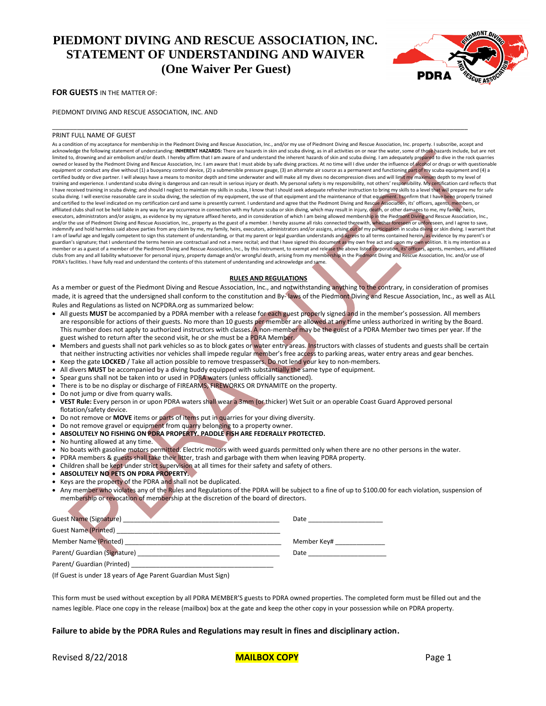# **PIEDMONT DIVING AND RESCUE ASSOCIATION, INC. STATEMENT OF UNDERSTANDING AND WAIVER (One Waiver Per Guest)**



**FOR GUESTS** IN THE MATTER OF:

PIEDMONT DIVING AND RESCUE ASSOCIATION, INC. AND

### PRINT FULL NAME OF GUEST

As a condition of my acceptance for membership in the Piedmont Diving and Rescue Association, Inc., and/or my use of Piedmont Diving and Rescue Association, Inc. property. I subscribe, accept and<br>acknowledge the following limited to, drowning and air embolism and/or death. I hereby affirm that I am aware of and understand the inherent hazards of skin and scuba diving. I am adequately prepared to dive in the rock quarries owned or leased by the Piedmont Diving and Rescue Association, Inc. I am aware that I must abide by safe diving practices. At no time will I dive under the influence of alcohol or drugs or with questionable equipment or conduct any dive without (1) a buoyancy control device, (2) a submersible pressure gauge, (3) an alternate air source as a permanent and functioning part of my scuba equipment and (4) a certified buddy or dive partner. I will always have a means to monitor depth and time underwater and will make all my dives no decompression dives and will limit my maximum depth to my level of training and experience. I understand scuba diving is dangerous and can result in serious injury or death. My personal safety is my responsibility, not others' responsibility. My certification card reflects that I have received training in scuba diving; and should I neglect to maintain my skills in scuba, I know that I should seek adequate refresher instruction to bring my skills to a level that will prepare me for safe scuba diving. I will exercise reasonable care in scuba diving, the selection of my equipment, the use of that equipment and the maintenance of that equipment. I confirm that I have been properly trained and certified to the level indicated on my certification card and same is presently current. I understand and agree that the Piedmont Diving and Rescue Association, its' officers, agents, members, or<br>affiliated clubs shall executors, administrators and/or assigns, as evidence by my signature affixed hereto, and in consideration of which I am being allowed membership in the Piedmont Diving and Rescue Association, Inc., and/or the use of Piedmont Diving and Rescue Association, Inc., property as the guest of a member. I hereby assume all risks connected therewith, whether foreseen or unforeseen, and I agree to save, indemnify and hold harmless said above parties from any claim by me, my family, heirs, executors, administrators and/or assigns, arising out of my participation in scuba diving or skin diving. I warrant that<br>I am of lawful guardian's signature; that I understand the terms herein are contractual and not a mere recital; and that I have signed this document as my own free act and upon my own yolition. It is my intention as a .<br>member or as a guest of a member of the Piedmont Diving and Rescue Association, Inc., by this instrument, to exempt and release the above listed corporation, its' officers, agents, members, and affiliated clubs from any and all liability whatsoever for personal injury, property damage and/or wrongful death, arising from my membership in the Piedmont Diving and Rescue Association, Inc. and/or use of<br>PDRA's facilities. I have

\_\_\_\_\_\_\_\_\_\_\_\_\_\_\_\_\_\_\_\_\_\_\_\_\_\_\_\_\_\_\_\_\_\_\_\_\_\_\_\_\_\_\_\_\_\_\_\_\_\_\_\_\_\_\_\_\_\_\_\_\_\_\_\_\_\_\_\_\_\_\_\_\_\_\_\_\_\_\_\_\_\_\_\_\_\_\_\_\_\_\_\_\_\_\_\_\_\_\_\_\_\_\_\_\_\_\_\_\_\_\_\_\_\_\_\_\_

### **RULES AND REGULATIONS**

As a member or guest of the Piedmont Diving and Rescue Association, Inc., and notwithstanding anything to the contrary, in consideration of promises made, it is agreed that the undersigned shall conform to the constitution and By-laws of the Piedmont Diving and Rescue Association, Inc., as well as ALL Rules and Regulations as listed on NCPDRA.org as summarized below:

- All guests MUST be accompanied by a PDRA member with a release for each guest properly signed and in the member's possession. All members are responsible for actions of their guests. No more than 10 guests per member are allowed at any time unless authorized in writing by the Board. This number does not apply to authorized instructors with classes. A non-member may be the guest of a PDRA Member two times per year. If the guest wished to return after the second visit, he or she must be a PDRA Member.
- Members and guests shall not park vehicles so as to block gates or water entry areas. Instructors with classes of students and guests shall be certain that neither instructing activities nor vehicles shall impede regular member's free access to parking areas, water entry areas and gear benches.
- Keep the gate LOCKED / Take all action possible to remove trespassers. Do not lend your key to non-members.
- All divers **MUST** be accompanied by a diving buddy equipped with substantially the same type of equipment.
- Spear guns shall not be taken into or used in PDRA waters (unless officially sanctioned).
- There is to be no display or discharge of FIREARMS, FIREWORKS OR DYNAMITE on the property.
- Do not jump or dive from quarry walls.
- **VEST Rule:** Every person in or upon PDRA waters shall wear a 3mm (or thicker) Wet Suit or an operable Coast Guard Approved personal flotation/safety device.
- Do not remove or **MOVE** items or parts of items put in quarries for your diving diversity.
- Do not remove gravel or equipment from quarry belonging to a property owner.
- **ABSOLUTELY NO FISHING ON PDRA PROPERTY. PADDLE FISH ARE FEDERALLY PROTECTED.**
- No hunting allowed at any time.
- No boats with gasoline motors permitted. Electric motors with weed guards permitted only when there are no other persons in the water.
- PDRA members & guests shall take their litter, trash and garbage with them when leaving PDRA property.
- Children shall be kept under strict supervision at all times for their safety and safety of others.
- **ABSOLUTELY NO PETS ON PDRA PROPERTY.**
- Keys are the property of the PDRA and shall not be duplicated.
- Any member who violates any of the Rules and Regulations of the PDRA will be subject to a fine of up to \$100.00 for each violation, suspension of membership or revocation of membership at the discretion of the board of directors.

| <b>Guest Name (Signature)</b> | Date                             |
|-------------------------------|----------------------------------|
| <b>Guest Name (Printed)</b>   |                                  |
| Member Name (Printed)         | Member Key# water and the Member |
| Parent/ Guardian (Signature)  | Date                             |
| Parent/ Guardian (Printed)    |                                  |

(If Guest is under 18 years of Age Parent Guardian Must Sign)

This form must be used without exception by all PDRA MEMBER'S guests to PDRA owned properties. The completed form must be filled out and the names legible. Place one copy in the release (mailbox) box at the gate and keep the other copy in your possession while on PDRA property.

# **Failure to abide by the PDRA Rules and Regulations may result in fines and disciplinary action.**

Revised 8/22/2018 **MAILBOX COPY** Page 1